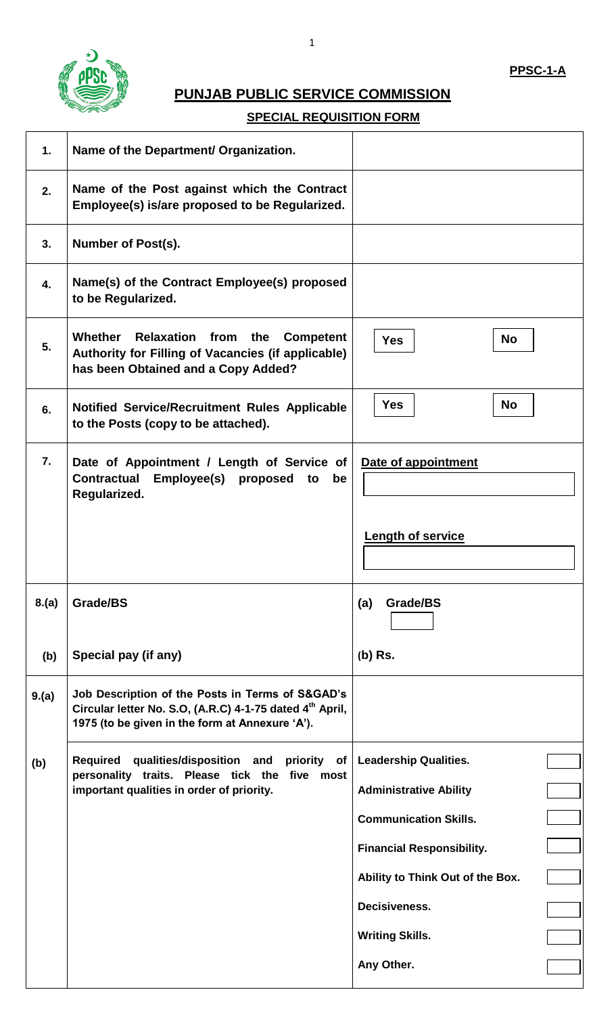

# **PUNJAB PUBLIC SERVICE COMMISSION**

## **SPECIAL REQUISITION FORM**

| $\mathbf 1$      | Name of the Department/ Organization.                                                                                                                                       |                                  |
|------------------|-----------------------------------------------------------------------------------------------------------------------------------------------------------------------------|----------------------------------|
| 2.               | Name of the Post against which the Contract<br>Employee(s) is/are proposed to be Regularized.                                                                               |                                  |
| 3.               | Number of Post(s).                                                                                                                                                          |                                  |
| $\overline{4}$ . | Name(s) of the Contract Employee(s) proposed<br>to be Regularized.                                                                                                          |                                  |
| 5.               | <b>Whether</b><br><b>Relaxation from</b><br>the<br><b>Competent</b><br>Authority for Filling of Vacancies (if applicable)<br>has been Obtained and a Copy Added?            | <b>No</b><br><b>Yes</b>          |
| 6.               | <b>Notified Service/Recruitment Rules Applicable</b><br>to the Posts (copy to be attached).                                                                                 | <b>Yes</b><br><b>No</b>          |
| 7.               | Date of Appointment / Length of Service of<br><b>Contractual</b><br>Employee(s) proposed<br>be<br>to<br>Regularized.                                                        | Date of appointment              |
|                  |                                                                                                                                                                             | <b>Length of service</b>         |
| 8.(a)            | Grade/BS                                                                                                                                                                    | (a)<br>Grade/BS                  |
| (b)              | Special pay (if any)                                                                                                                                                        | $(b)$ Rs.                        |
| 9.(a)            | Job Description of the Posts in Terms of S&GAD's<br>Circular letter No. S.O, (A.R.C) 4-1-75 dated 4 <sup>th</sup> April,<br>1975 (to be given in the form at Annexure 'A'). |                                  |
| (b)              | qualities/disposition and priority of<br><b>Required</b><br>personality traits. Please tick the five most<br>important qualities in order of priority.                      | <b>Leadership Qualities.</b>     |
|                  |                                                                                                                                                                             | <b>Administrative Ability</b>    |
|                  |                                                                                                                                                                             | <b>Communication Skills.</b>     |
|                  |                                                                                                                                                                             | <b>Financial Responsibility.</b> |
|                  |                                                                                                                                                                             | Ability to Think Out of the Box. |
|                  |                                                                                                                                                                             | Decisiveness.                    |
|                  |                                                                                                                                                                             | <b>Writing Skills.</b>           |
|                  |                                                                                                                                                                             | Any Other.                       |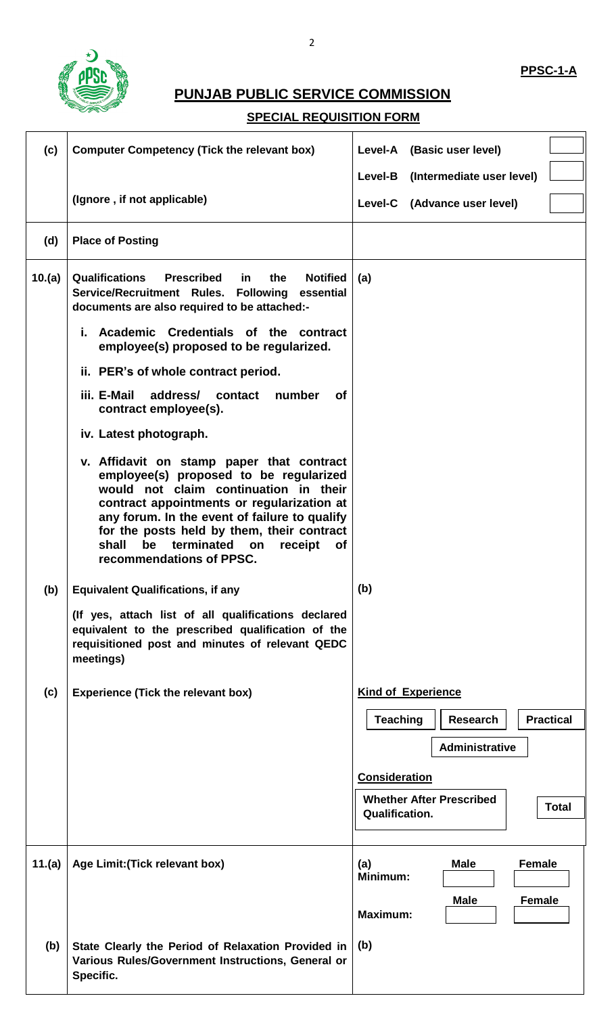

# **PUNJAB PUBLIC SERVICE COMMISSION**

## **SPECIAL REQUISITION FORM**

| (c)    | <b>Computer Competency (Tick the relevant box)</b>                                                                                                                                                                                                                                                                                                               | Level-A (Basic user level)                              |
|--------|------------------------------------------------------------------------------------------------------------------------------------------------------------------------------------------------------------------------------------------------------------------------------------------------------------------------------------------------------------------|---------------------------------------------------------|
|        |                                                                                                                                                                                                                                                                                                                                                                  | Level-B (Intermediate user level)                       |
|        | (Ignore, if not applicable)                                                                                                                                                                                                                                                                                                                                      | Level-C (Advance user level)                            |
| (d)    | <b>Place of Posting</b>                                                                                                                                                                                                                                                                                                                                          |                                                         |
| 10.(a) | <b>Qualifications</b><br><b>Prescribed</b><br><b>Notified</b><br>in<br>the<br>Service/Recruitment Rules. Following essential<br>documents are also required to be attached:-                                                                                                                                                                                     | (a)                                                     |
|        | Academic Credentials of the contract<br>i.<br>employee(s) proposed to be regularized.                                                                                                                                                                                                                                                                            |                                                         |
|        | ii. PER's of whole contract period.                                                                                                                                                                                                                                                                                                                              |                                                         |
|        | iii. E-Mail<br>address/<br>contact<br>number<br><b>of</b><br>contract employee(s).                                                                                                                                                                                                                                                                               |                                                         |
|        | iv. Latest photograph.                                                                                                                                                                                                                                                                                                                                           |                                                         |
|        | v. Affidavit on stamp paper that contract<br>employee(s) proposed to be regularized<br>would not claim continuation in their<br>contract appointments or regularization at<br>any forum. In the event of failure to qualify<br>for the posts held by them, their contract<br>be<br>terminated<br>shall<br>on<br>receipt<br><b>of</b><br>recommendations of PPSC. |                                                         |
| (b)    | <b>Equivalent Qualifications, if any</b>                                                                                                                                                                                                                                                                                                                         | (b)                                                     |
|        | (If yes, attach list of all qualifications declared<br>equivalent to the prescribed qualification of the<br>requisitioned post and minutes of relevant QEDC<br>meetings)                                                                                                                                                                                         |                                                         |
| (c)    | <b>Experience (Tick the relevant box)</b>                                                                                                                                                                                                                                                                                                                        | <b>Kind of Experience</b>                               |
|        |                                                                                                                                                                                                                                                                                                                                                                  | <b>Teaching</b><br><b>Practical</b><br><b>Research</b>  |
|        |                                                                                                                                                                                                                                                                                                                                                                  | Administrative                                          |
|        |                                                                                                                                                                                                                                                                                                                                                                  |                                                         |
|        |                                                                                                                                                                                                                                                                                                                                                                  | <b>Consideration</b><br><b>Whether After Prescribed</b> |
|        |                                                                                                                                                                                                                                                                                                                                                                  | <b>Total</b><br><b>Qualification.</b>                   |
|        |                                                                                                                                                                                                                                                                                                                                                                  |                                                         |
| 11.(a) | Age Limit: (Tick relevant box)                                                                                                                                                                                                                                                                                                                                   | (a)<br><b>Male</b><br><b>Female</b><br>Minimum:         |
|        |                                                                                                                                                                                                                                                                                                                                                                  | <b>Male</b><br><b>Female</b><br><b>Maximum:</b>         |
| (b)    | State Clearly the Period of Relaxation Provided in<br>Various Rules/Government Instructions, General or<br>Specific.                                                                                                                                                                                                                                             | (b)                                                     |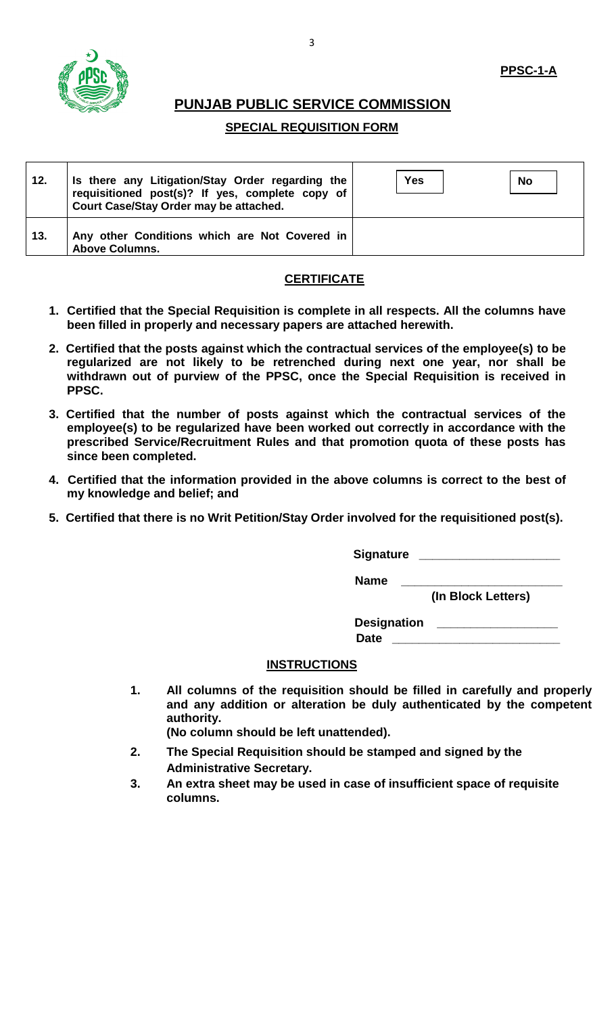

### **PPSC-1-A**

### **PUNJAB PUBLIC SERVICE COMMISSION**

#### **SPECIAL REQUISITION FORM**

| 12. | Is there any Litigation/Stay Order regarding the<br>requisitioned post(s)? If yes, complete copy of<br>Court Case/Stay Order may be attached. | <b>Yes</b> | <b>No</b> |
|-----|-----------------------------------------------------------------------------------------------------------------------------------------------|------------|-----------|
| 13. | Any other Conditions which are Not Covered in<br><b>Above Columns.</b>                                                                        |            |           |

#### **CERTIFICATE**

- **1. Certified that the Special Requisition is complete in all respects. All the columns have been filled in properly and necessary papers are attached herewith.**
- **2. Certified that the posts against which the contractual services of the employee(s) to be regularized are not likely to be retrenched during next one year, nor shall be withdrawn out of purview of the PPSC, once the Special Requisition is received in PPSC.**
- **3. Certified that the number of posts against which the contractual services of the employee(s) to be regularized have been worked out correctly in accordance with the prescribed Service/Recruitment Rules and that promotion quota of these posts has since been completed.**
- **4. Certified that the information provided in the above columns is correct to the best of my knowledge and belief; and**
- **5. Certified that there is no Writ Petition/Stay Order involved for the requisitioned post(s).**

**Signature \_\_\_\_\_\_\_\_\_\_\_\_\_\_\_\_\_\_\_\_\_**

 **Name \_\_\_\_\_\_\_\_\_\_\_\_\_\_\_\_\_\_\_\_\_\_\_\_**

 **(In Block Letters)**

Designation \_\_\_\_\_\_ Date

#### **INSTRUCTIONS**

**1. All columns of the requisition should be filled in carefully and properly and any addition or alteration be duly authenticated by the competent authority.**

**(No column should be left unattended).**

- **2. The Special Requisition should be stamped and signed by the Administrative Secretary.**
- **3. An extra sheet may be used in case of insufficient space of requisite columns.**